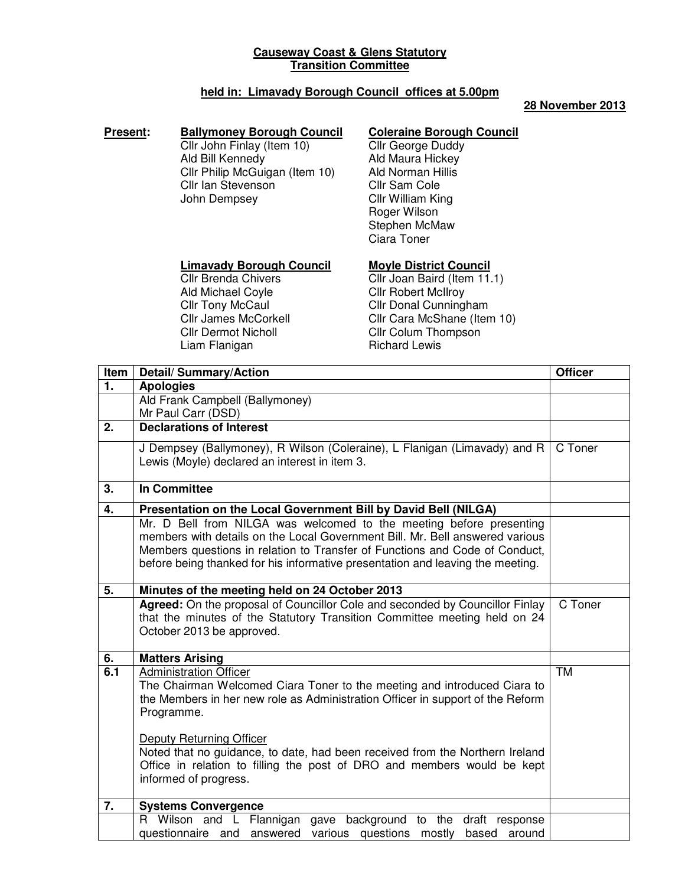# **Causeway Coast & Glens Statutory Transition Committee**

# **held in: Limavady Borough Council offices at 5.00pm**

### **28 November 2013**

### **Present: Ballymoney Borough Council**

Cllr John Finlay (Item 10) Ald Bill Kennedy Cllr Philip McGuigan (Item 10) Cllr Ian Stevenson John Dempsey

# **Coleraine Borough Council**

Cllr George Duddy Ald Maura Hickey Ald Norman Hillis Cllr Sam Cole Cllr William King Roger Wilson Stephen McMaw Ciara Toner

### **Limavady Borough Council**

Cllr Brenda Chivers Ald Michael Coyle **Cllr Tony McCaul** Cllr James McCorkell Cllr Dermot Nicholl Liam Flanigan

**Moyle District Council** Cllr Joan Baird (Item 11.1) Cllr Robert McIlroy Cllr Donal Cunningham Cllr Cara McShane (Item 10) Cllr Colum Thompson Richard Lewis

| Item | <b>Detail/Summary/Action</b>                                                                                                                                                                                                                                                                                                                                                              | <b>Officer</b> |
|------|-------------------------------------------------------------------------------------------------------------------------------------------------------------------------------------------------------------------------------------------------------------------------------------------------------------------------------------------------------------------------------------------|----------------|
| 1.   | <b>Apologies</b>                                                                                                                                                                                                                                                                                                                                                                          |                |
|      | Ald Frank Campbell (Ballymoney)                                                                                                                                                                                                                                                                                                                                                           |                |
|      | Mr Paul Carr (DSD)                                                                                                                                                                                                                                                                                                                                                                        |                |
| 2.   | <b>Declarations of Interest</b>                                                                                                                                                                                                                                                                                                                                                           |                |
|      | J Dempsey (Ballymoney), R Wilson (Coleraine), L Flanigan (Limavady) and R<br>Lewis (Moyle) declared an interest in item 3.                                                                                                                                                                                                                                                                | C Toner        |
| 3.   | <b>In Committee</b>                                                                                                                                                                                                                                                                                                                                                                       |                |
| 4.   | Presentation on the Local Government Bill by David Bell (NILGA)                                                                                                                                                                                                                                                                                                                           |                |
|      | Mr. D Bell from NILGA was welcomed to the meeting before presenting<br>members with details on the Local Government Bill. Mr. Bell answered various<br>Members questions in relation to Transfer of Functions and Code of Conduct,<br>before being thanked for his informative presentation and leaving the meeting.                                                                      |                |
| 5.   | Minutes of the meeting held on 24 October 2013                                                                                                                                                                                                                                                                                                                                            |                |
|      | Agreed: On the proposal of Councillor Cole and seconded by Councillor Finlay<br>that the minutes of the Statutory Transition Committee meeting held on 24<br>October 2013 be approved.                                                                                                                                                                                                    | C Toner        |
| 6.   | <b>Matters Arising</b>                                                                                                                                                                                                                                                                                                                                                                    |                |
| 6.1  | Administration Officer<br>The Chairman Welcomed Ciara Toner to the meeting and introduced Ciara to<br>the Members in her new role as Administration Officer in support of the Reform<br>Programme.<br>Deputy Returning Officer<br>Noted that no guidance, to date, had been received from the Northern Ireland<br>Office in relation to filling the post of DRO and members would be kept | <b>TM</b>      |
|      | informed of progress.                                                                                                                                                                                                                                                                                                                                                                     |                |
| 7.   | <b>Systems Convergence</b>                                                                                                                                                                                                                                                                                                                                                                |                |
|      | R Wilson and L Flannigan<br>gave background to the draft response<br>questionnaire and answered<br>various questions mostly<br>based around                                                                                                                                                                                                                                               |                |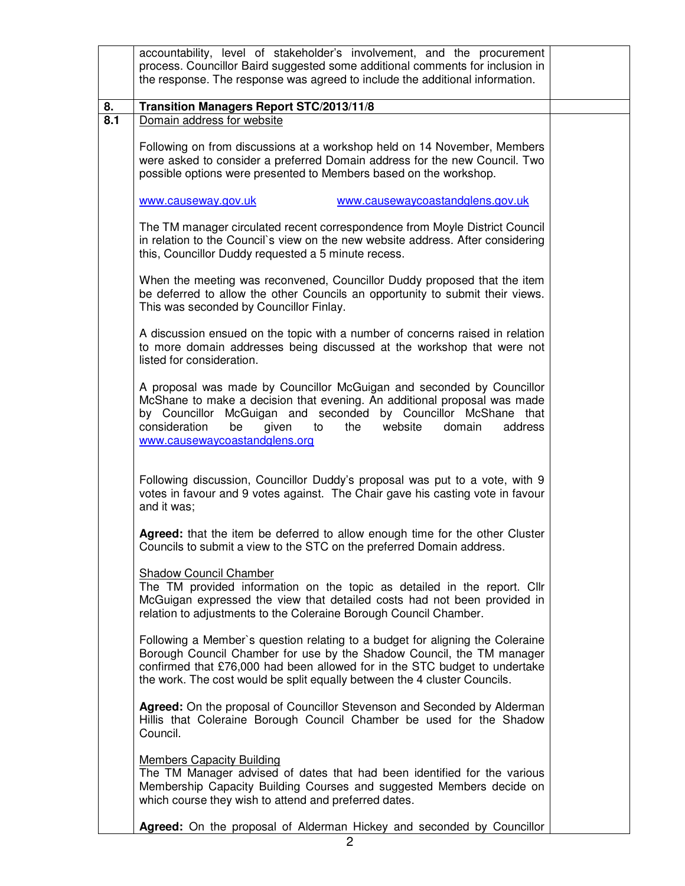|     | accountability, level of stakeholder's involvement, and the procurement<br>process. Councillor Baird suggested some additional comments for inclusion in<br>the response. The response was agreed to include the additional information.                                                                                          |  |
|-----|-----------------------------------------------------------------------------------------------------------------------------------------------------------------------------------------------------------------------------------------------------------------------------------------------------------------------------------|--|
| 8.  | Transition Managers Report STC/2013/11/8                                                                                                                                                                                                                                                                                          |  |
| 8.1 | Domain address for website                                                                                                                                                                                                                                                                                                        |  |
|     | Following on from discussions at a workshop held on 14 November, Members<br>were asked to consider a preferred Domain address for the new Council. Two<br>possible options were presented to Members based on the workshop.                                                                                                       |  |
|     | www.causewaycoastandglens.gov.uk<br>www.causeway.gov.uk                                                                                                                                                                                                                                                                           |  |
|     | The TM manager circulated recent correspondence from Moyle District Council<br>in relation to the Council's view on the new website address. After considering<br>this, Councillor Duddy requested a 5 minute recess.                                                                                                             |  |
|     | When the meeting was reconvened, Councillor Duddy proposed that the item<br>be deferred to allow the other Councils an opportunity to submit their views.<br>This was seconded by Councillor Finlay.                                                                                                                              |  |
|     | A discussion ensued on the topic with a number of concerns raised in relation<br>to more domain addresses being discussed at the workshop that were not<br>listed for consideration.                                                                                                                                              |  |
|     | A proposal was made by Councillor McGuigan and seconded by Councillor<br>McShane to make a decision that evening. An additional proposal was made<br>by Councillor McGuigan and seconded by Councillor McShane that<br>consideration<br>be<br>website<br>address<br>given<br>to<br>the<br>domain<br>www.causewaycoastandglens.org |  |
|     | Following discussion, Councillor Duddy's proposal was put to a vote, with 9<br>votes in favour and 9 votes against. The Chair gave his casting vote in favour<br>and it was;                                                                                                                                                      |  |
|     | Agreed: that the item be deferred to allow enough time for the other Cluster<br>Councils to submit a view to the STC on the preferred Domain address.                                                                                                                                                                             |  |
|     | <b>Shadow Council Chamber</b><br>The TM provided information on the topic as detailed in the report. Cllr<br>McGuigan expressed the view that detailed costs had not been provided in<br>relation to adjustments to the Coleraine Borough Council Chamber.                                                                        |  |
|     | Following a Member's question relating to a budget for aligning the Coleraine<br>Borough Council Chamber for use by the Shadow Council, the TM manager<br>confirmed that £76,000 had been allowed for in the STC budget to undertake<br>the work. The cost would be split equally between the 4 cluster Councils.                 |  |
|     | Agreed: On the proposal of Councillor Stevenson and Seconded by Alderman<br>Hillis that Coleraine Borough Council Chamber be used for the Shadow<br>Council.                                                                                                                                                                      |  |
|     | <b>Members Capacity Building</b><br>The TM Manager advised of dates that had been identified for the various<br>Membership Capacity Building Courses and suggested Members decide on<br>which course they wish to attend and preferred dates.                                                                                     |  |
|     | Agreed: On the proposal of Alderman Hickey and seconded by Councillor                                                                                                                                                                                                                                                             |  |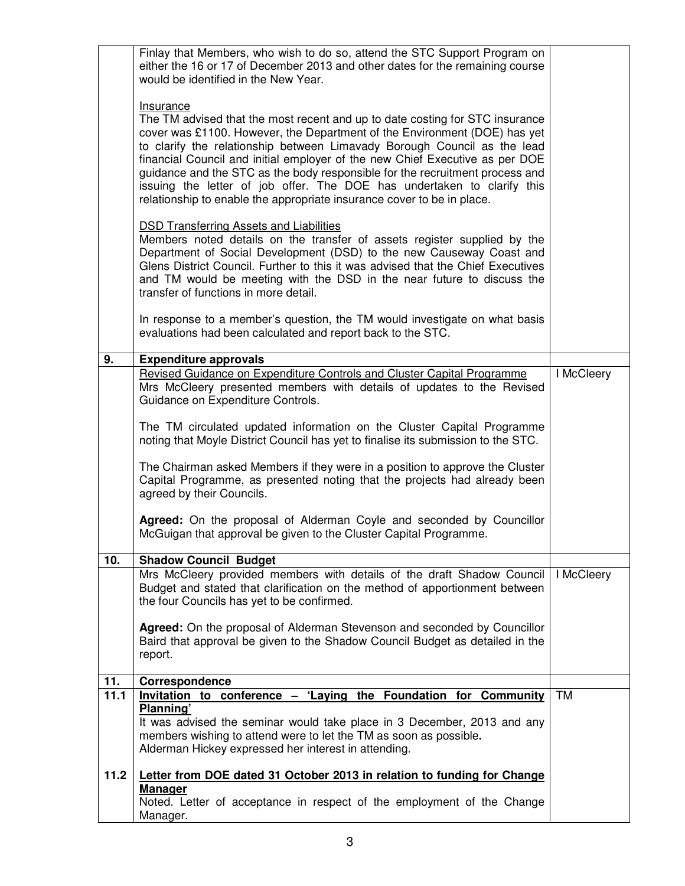| Finlay that Members, who wish to do so, attend the STC Support Program on<br>either the 16 or 17 of December 2013 and other dates for the remaining course<br>would be identified in the New Year.<br>Insurance<br>The TM advised that the most recent and up to date costing for STC insurance<br>cover was £1100. However, the Department of the Environment (DOE) has yet<br>to clarify the relationship between Limavady Borough Council as the lead<br>financial Council and initial employer of the new Chief Executive as per DOE<br>guidance and the STC as the body responsible for the recruitment process and<br>issuing the letter of job offer. The DOE has undertaken to clarify this<br>relationship to enable the appropriate insurance cover to be in place.<br><b>DSD Transferring Assets and Liabilities</b><br>Members noted details on the transfer of assets register supplied by the<br>Department of Social Development (DSD) to the new Causeway Coast and<br>Glens District Council. Further to this it was advised that the Chief Executives<br>and TM would be meeting with the DSD in the near future to discuss the<br>transfer of functions in more detail.<br>In response to a member's question, the TM would investigate on what basis<br>evaluations had been calculated and report back to the STC. |            |
|-----------------------------------------------------------------------------------------------------------------------------------------------------------------------------------------------------------------------------------------------------------------------------------------------------------------------------------------------------------------------------------------------------------------------------------------------------------------------------------------------------------------------------------------------------------------------------------------------------------------------------------------------------------------------------------------------------------------------------------------------------------------------------------------------------------------------------------------------------------------------------------------------------------------------------------------------------------------------------------------------------------------------------------------------------------------------------------------------------------------------------------------------------------------------------------------------------------------------------------------------------------------------------------------------------------------------------------------|------------|
|                                                                                                                                                                                                                                                                                                                                                                                                                                                                                                                                                                                                                                                                                                                                                                                                                                                                                                                                                                                                                                                                                                                                                                                                                                                                                                                                         |            |
| 9.<br><b>Expenditure approvals</b><br>Revised Guidance on Expenditure Controls and Cluster Capital Programme<br>Mrs McCleery presented members with details of updates to the Revised<br>Guidance on Expenditure Controls.<br>The TM circulated updated information on the Cluster Capital Programme<br>noting that Moyle District Council has yet to finalise its submission to the STC.<br>The Chairman asked Members if they were in a position to approve the Cluster<br>Capital Programme, as presented noting that the projects had already been<br>agreed by their Councils.<br>Agreed: On the proposal of Alderman Coyle and seconded by Councillor<br>McGuigan that approval be given to the Cluster Capital Programme.                                                                                                                                                                                                                                                                                                                                                                                                                                                                                                                                                                                                        | I McCleery |
| 10.<br><b>Shadow Council Budget</b>                                                                                                                                                                                                                                                                                                                                                                                                                                                                                                                                                                                                                                                                                                                                                                                                                                                                                                                                                                                                                                                                                                                                                                                                                                                                                                     |            |
| Mrs McCleery provided members with details of the draft Shadow Council<br>Budget and stated that clarification on the method of apportionment between<br>the four Councils has yet to be confirmed.<br>Agreed: On the proposal of Alderman Stevenson and seconded by Councillor<br>Baird that approval be given to the Shadow Council Budget as detailed in the<br>report.                                                                                                                                                                                                                                                                                                                                                                                                                                                                                                                                                                                                                                                                                                                                                                                                                                                                                                                                                              | I McCleery |
| 11.<br>Correspondence                                                                                                                                                                                                                                                                                                                                                                                                                                                                                                                                                                                                                                                                                                                                                                                                                                                                                                                                                                                                                                                                                                                                                                                                                                                                                                                   |            |
| 11.1<br>Invitation to conference – 'Laying the Foundation for Community<br>Planning'<br>It was advised the seminar would take place in 3 December, 2013 and any<br>members wishing to attend were to let the TM as soon as possible.<br>Alderman Hickey expressed her interest in attending.                                                                                                                                                                                                                                                                                                                                                                                                                                                                                                                                                                                                                                                                                                                                                                                                                                                                                                                                                                                                                                            | <b>TM</b>  |
| 11.2<br>Letter from DOE dated 31 October 2013 in relation to funding for Change<br><b>Manager</b><br>Noted. Letter of acceptance in respect of the employment of the Change<br>Manager.                                                                                                                                                                                                                                                                                                                                                                                                                                                                                                                                                                                                                                                                                                                                                                                                                                                                                                                                                                                                                                                                                                                                                 |            |